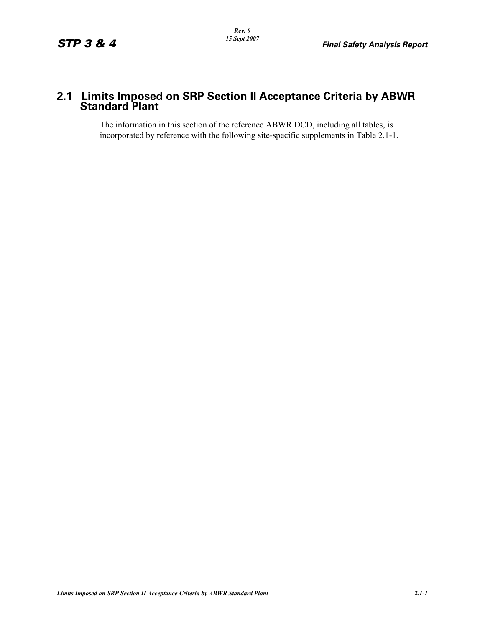# **2.1 Limits Imposed on SRP Section II Acceptance Criteria by ABWR Standard Plant**

The information in this section of the reference ABWR DCD, including all tables, is incorporated by reference with the following site-specific supplements in Table 2.1-1.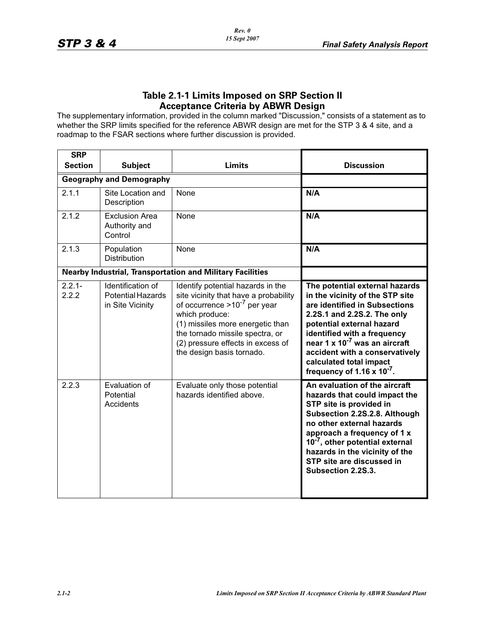The supplementary information, provided in the column marked "Discussion," consists of a statement as to whether the SRP limits specified for the reference ABWR design are met for the STP 3 & 4 site, and a roadmap to the FSAR sections where further discussion is provided.

| <b>SRP</b>         |                                                                   |                                                                                                                                                                                                                                                                            |                                                                                                                                                                                                                                                                                                                                                          |
|--------------------|-------------------------------------------------------------------|----------------------------------------------------------------------------------------------------------------------------------------------------------------------------------------------------------------------------------------------------------------------------|----------------------------------------------------------------------------------------------------------------------------------------------------------------------------------------------------------------------------------------------------------------------------------------------------------------------------------------------------------|
| <b>Section</b>     | <b>Subject</b>                                                    | <b>Limits</b>                                                                                                                                                                                                                                                              | <b>Discussion</b>                                                                                                                                                                                                                                                                                                                                        |
|                    | <b>Geography and Demography</b>                                   |                                                                                                                                                                                                                                                                            |                                                                                                                                                                                                                                                                                                                                                          |
| 2.1.1              | Site Location and<br>Description                                  | None                                                                                                                                                                                                                                                                       | N/A                                                                                                                                                                                                                                                                                                                                                      |
| 2.1.2              | <b>Exclusion Area</b><br>Authority and<br>Control                 | None                                                                                                                                                                                                                                                                       | N/A                                                                                                                                                                                                                                                                                                                                                      |
| 2.1.3              | Population<br><b>Distribution</b>                                 | None                                                                                                                                                                                                                                                                       | N/A                                                                                                                                                                                                                                                                                                                                                      |
|                    |                                                                   | <b>Nearby Industrial, Transportation and Military Facilities</b>                                                                                                                                                                                                           |                                                                                                                                                                                                                                                                                                                                                          |
| $2.2.1 -$<br>2.2.2 | Identification of<br><b>Potential Hazards</b><br>in Site Vicinity | Identify potential hazards in the<br>site vicinity that have a probability<br>of occurrence $>10^{-7}$ per year<br>which produce:<br>(1) missiles more energetic than<br>the tornado missile spectra, or<br>(2) pressure effects in excess of<br>the design basis tornado. | The potential external hazards<br>in the vicinity of the STP site<br>are identified in Subsections<br>2.2S.1 and 2.2S.2. The only<br>potential external hazard<br>identified with a frequency<br>near 1 x 10 <sup>-7</sup> was an aircraft<br>accident with a conservatively<br>calculated total impact<br>frequency of 1.16 $\times$ 10 <sup>-7</sup> . |
| 2.2.3              | Evaluation of<br>Potential<br>Accidents                           | Evaluate only those potential<br>hazards identified above.                                                                                                                                                                                                                 | An evaluation of the aircraft<br>hazards that could impact the<br>STP site is provided in<br>Subsection 2.2S.2.8. Although<br>no other external hazards<br>approach a frequency of 1 x<br>10 <sup>-7</sup> , other potential external<br>hazards in the vicinity of the<br>STP site are discussed in<br>Subsection 2.2S.3.                               |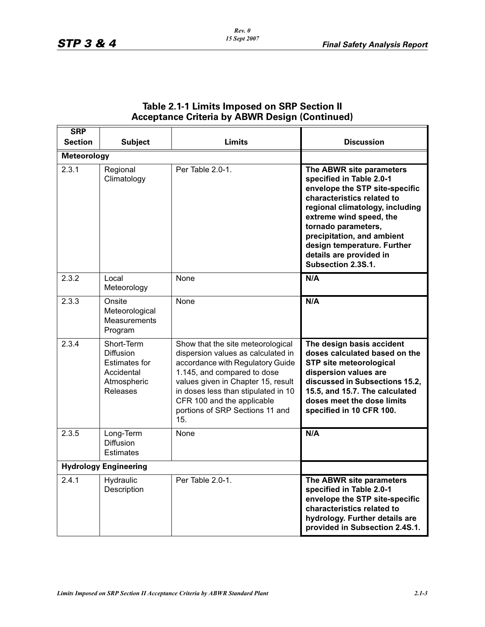| <b>SRP</b>                   |                                                                                                 |                                                                                                                                                                                                                                                                                                 |                                                                                                                                                                                                                                                                                                                         |
|------------------------------|-------------------------------------------------------------------------------------------------|-------------------------------------------------------------------------------------------------------------------------------------------------------------------------------------------------------------------------------------------------------------------------------------------------|-------------------------------------------------------------------------------------------------------------------------------------------------------------------------------------------------------------------------------------------------------------------------------------------------------------------------|
| <b>Section</b>               | <b>Subject</b>                                                                                  | Limits                                                                                                                                                                                                                                                                                          | <b>Discussion</b>                                                                                                                                                                                                                                                                                                       |
| <b>Meteorology</b>           |                                                                                                 |                                                                                                                                                                                                                                                                                                 |                                                                                                                                                                                                                                                                                                                         |
| 2.3.1                        | Regional<br>Climatology                                                                         | Per Table 2.0-1.                                                                                                                                                                                                                                                                                | The ABWR site parameters<br>specified in Table 2.0-1<br>envelope the STP site-specific<br>characteristics related to<br>regional climatology, including<br>extreme wind speed, the<br>tornado parameters,<br>precipitation, and ambient<br>design temperature. Further<br>details are provided in<br>Subsection 2.3S.1. |
| 2.3.2                        | Local<br>Meteorology                                                                            | None                                                                                                                                                                                                                                                                                            | N/A                                                                                                                                                                                                                                                                                                                     |
| 2.3.3                        | Onsite<br>Meteorological<br>Measurements<br>Program                                             | None                                                                                                                                                                                                                                                                                            | N/A                                                                                                                                                                                                                                                                                                                     |
| 2.3.4                        | Short-Term<br><b>Diffusion</b><br><b>Estimates for</b><br>Accidental<br>Atmospheric<br>Releases | Show that the site meteorological<br>dispersion values as calculated in<br>accordance with Regulatory Guide<br>1.145, and compared to dose<br>values given in Chapter 15, result<br>in doses less than stipulated in 10<br>CFR 100 and the applicable<br>portions of SRP Sections 11 and<br>15. | The design basis accident<br>doses calculated based on the<br><b>STP site meteorological</b><br>dispersion values are<br>discussed in Subsections 15.2,<br>15.5, and 15.7. The calculated<br>doses meet the dose limits<br>specified in 10 CFR 100.                                                                     |
| 2.3.5                        | Long-Term<br><b>Diffusion</b><br><b>Estimates</b>                                               | None                                                                                                                                                                                                                                                                                            | N/A                                                                                                                                                                                                                                                                                                                     |
| <b>Hydrology Engineering</b> |                                                                                                 |                                                                                                                                                                                                                                                                                                 |                                                                                                                                                                                                                                                                                                                         |
| 2.4.1                        | Hydraulic<br>Description                                                                        | Per Table 2.0-1.                                                                                                                                                                                                                                                                                | The ABWR site parameters<br>specified in Table 2.0-1<br>envelope the STP site-specific<br>characteristics related to<br>hydrology. Further details are<br>provided in Subsection 2.4S.1.                                                                                                                                |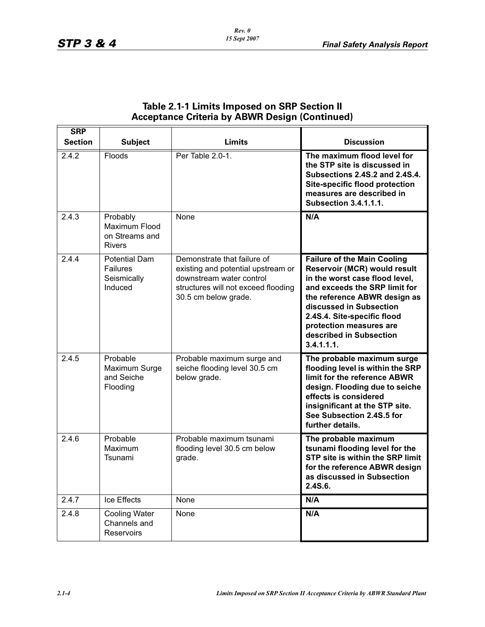| <b>SRP</b>     |                                                              |                                                                                                                                                              |                                                                                                                                                                                                                                                                                                     |
|----------------|--------------------------------------------------------------|--------------------------------------------------------------------------------------------------------------------------------------------------------------|-----------------------------------------------------------------------------------------------------------------------------------------------------------------------------------------------------------------------------------------------------------------------------------------------------|
| <b>Section</b> | <b>Subject</b>                                               | <b>Limits</b>                                                                                                                                                | <b>Discussion</b>                                                                                                                                                                                                                                                                                   |
| 2.4.2          | Floods                                                       | Per Table 2.0-1.                                                                                                                                             | The maximum flood level for<br>the STP site is discussed in<br>Subsections 2.4S.2 and 2.4S.4.<br>Site-specific flood protection<br>measures are described in<br><b>Subsection 3.4.1.1.1.</b>                                                                                                        |
| 2.4.3          | Probably<br>Maximum Flood<br>on Streams and<br><b>Rivers</b> | None                                                                                                                                                         | N/A                                                                                                                                                                                                                                                                                                 |
| 2.4.4          | <b>Potential Dam</b><br>Failures<br>Seismically<br>Induced   | Demonstrate that failure of<br>existing and potential upstream or<br>downstream water control<br>structures will not exceed flooding<br>30.5 cm below grade. | <b>Failure of the Main Cooling</b><br>Reservoir (MCR) would result<br>in the worst case flood level,<br>and exceeds the SRP limit for<br>the reference ABWR design as<br>discussed in Subsection<br>2.4S.4. Site-specific flood<br>protection measures are<br>described in Subsection<br>3.4.1.1.1. |
| 2.4.5          | Probable<br>Maximum Surge<br>and Seiche<br>Flooding          | Probable maximum surge and<br>seiche flooding level 30.5 cm<br>below grade.                                                                                  | The probable maximum surge<br>flooding level is within the SRP<br>limit for the reference ABWR<br>design. Flooding due to seiche<br>effects is considered<br>insignificant at the STP site.<br>See Subsection 2.4S.5 for<br>further details.                                                        |
| 2.4.6          | Probable<br>Maximum<br>Tsunami                               | Probable maximum tsunami<br>flooding level 30.5 cm below<br>grade.                                                                                           | The probable maximum<br>tsunami flooding level for the<br>STP site is within the SRP limit<br>for the reference ABWR design<br>as discussed in Subsection<br>2.4S.6.                                                                                                                                |
| 2.4.7          | Ice Effects                                                  | None                                                                                                                                                         | N/A                                                                                                                                                                                                                                                                                                 |
| 2.4.8          | <b>Cooling Water</b><br>Channels and<br>Reservoirs           | None                                                                                                                                                         | N/A                                                                                                                                                                                                                                                                                                 |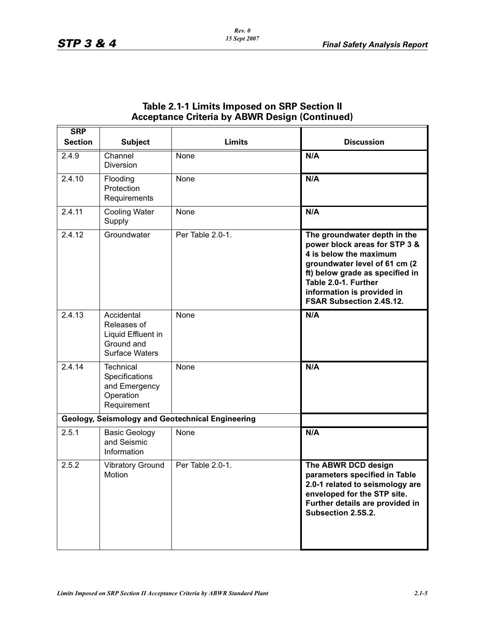| <b>Receptance Ontena by Abvin Design (Obnunaca)</b> |                                                                                        |                                                         |                                                                                                                                                                                                                                                      |
|-----------------------------------------------------|----------------------------------------------------------------------------------------|---------------------------------------------------------|------------------------------------------------------------------------------------------------------------------------------------------------------------------------------------------------------------------------------------------------------|
| <b>SRP</b><br><b>Section</b>                        | <b>Subject</b>                                                                         | <b>Limits</b>                                           | <b>Discussion</b>                                                                                                                                                                                                                                    |
| 2.4.9                                               | Channel<br><b>Diversion</b>                                                            | None                                                    | N/A                                                                                                                                                                                                                                                  |
| 2.4.10                                              | Flooding<br>Protection<br>Requirements                                                 | None                                                    | N/A                                                                                                                                                                                                                                                  |
| 2.4.11                                              | <b>Cooling Water</b><br>Supply                                                         | None                                                    | N/A                                                                                                                                                                                                                                                  |
| 2.4.12                                              | Groundwater                                                                            | Per Table 2.0-1.                                        | The groundwater depth in the<br>power block areas for STP 3 &<br>4 is below the maximum<br>groundwater level of 61 cm (2<br>ft) below grade as specified in<br>Table 2.0-1. Further<br>information is provided in<br><b>FSAR Subsection 2.4S.12.</b> |
| 2.4.13                                              | Accidental<br>Releases of<br>Liquid Effluent in<br>Ground and<br><b>Surface Waters</b> | None                                                    | N/A                                                                                                                                                                                                                                                  |
| 2.4.14                                              | <b>Technical</b><br>Specifications<br>and Emergency<br>Operation<br>Requirement        | None                                                    | N/A                                                                                                                                                                                                                                                  |
|                                                     |                                                                                        | <b>Geology, Seismology and Geotechnical Engineering</b> |                                                                                                                                                                                                                                                      |
| 2.5.1                                               | <b>Basic Geology</b><br>and Seismic<br>Information                                     | None                                                    | N/A                                                                                                                                                                                                                                                  |
| 2.5.2                                               | <b>Vibratory Ground</b><br>Motion                                                      | Per Table 2.0-1.                                        | The ABWR DCD design<br>parameters specified in Table<br>2.0-1 related to seismology are<br>enveloped for the STP site.<br>Further details are provided in<br>Subsection 2.5S.2.                                                                      |